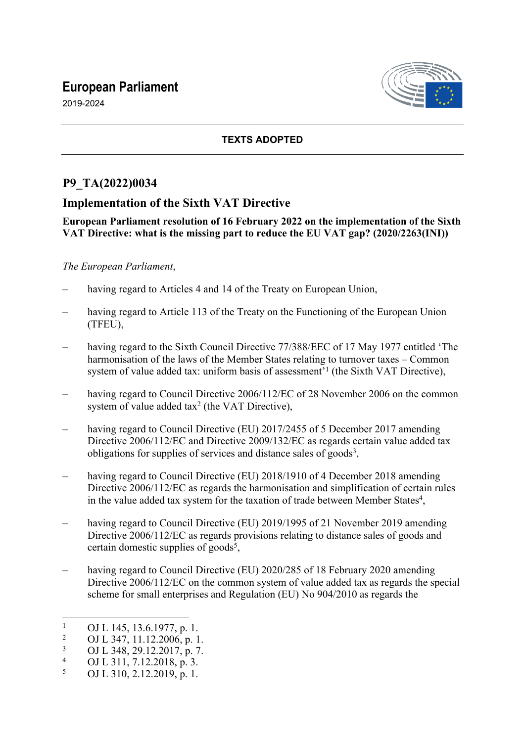# **European Parliament**

2019-2024



# **TEXTS ADOPTED**

# **P9\_TA(2022)0034**

# **Implementation of the Sixth VAT Directive**

### **European Parliament resolution of 16 February 2022 on the implementation of the Sixth VAT Directive: what is the missing part to reduce the EU VAT gap? (2020/2263(INI))**

## *The European Parliament*,

- having regard to Articles 4 and 14 of the Treaty on European Union,
- having regard to Article 113 of the Treaty on the Functioning of the European Union (TFEU),
- having regard to the Sixth Council Directive 77/388/EEC of 17 May 1977 entitled 'The harmonisation of the laws of the Member States relating to turnover taxes – Common system of value added tax: uniform basis of assessment<sup>'1</sup> (the Sixth VAT Directive),
- having regard to Council Directive 2006/112/EC of 28 November 2006 on the common system of value added  $tax^2$  (the VAT Directive),
- having regard to Council Directive (EU) 2017/2455 of 5 December 2017 amending Directive 2006/112/EC and Directive 2009/132/EC as regards certain value added tax obligations for supplies of services and distance sales of goods<sup>3</sup>,
- having regard to Council Directive (EU) 2018/1910 of 4 December 2018 amending Directive 2006/112/EC as regards the harmonisation and simplification of certain rules in the value added tax system for the taxation of trade between Member States<sup>4</sup>,
- having regard to Council Directive (EU) 2019/1995 of 21 November 2019 amending Directive 2006/112/EC as regards provisions relating to distance sales of goods and certain domestic supplies of goods<sup>5</sup>,
- having regard to Council Directive (EU) 2020/285 of 18 February 2020 amending Directive 2006/112/EC on the common system of value added tax as regards the special scheme for small enterprises and Regulation (EU) No 904/2010 as regards the

<sup>1</sup> OJ L 145, 13.6.1977, p. 1.

 $\overline{2}$ OJ L 347, 11.12.2006, p. 1.

<sup>3</sup> OJ L 348, 29.12.2017, p. 7.

<sup>4</sup> OJ L 311, 7.12.2018, p. 3.

<sup>5</sup> OJ L 310, 2.12.2019, p. 1.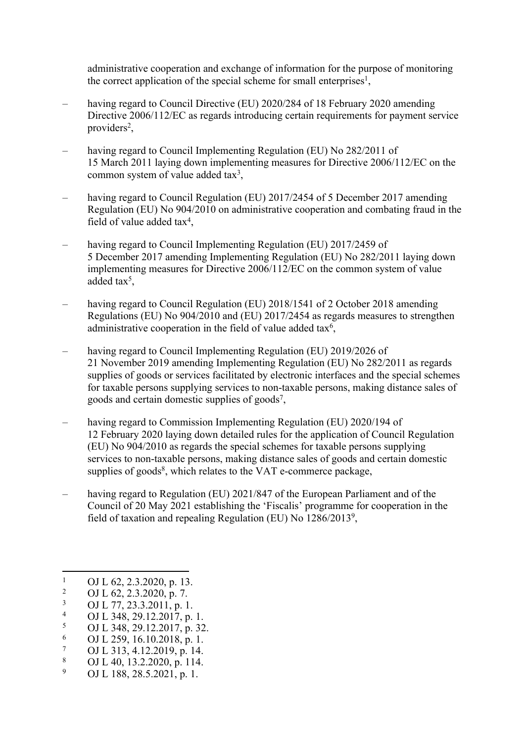administrative cooperation and exchange of information for the purpose of monitoring the correct application of the special scheme for small enterprises<sup>1</sup>,

- having regard to Council Directive (EU) 2020/284 of 18 February 2020 amending Directive 2006/112/EC as regards introducing certain requirements for payment service providers<sup>2</sup>,
- having regard to Council Implementing Regulation (EU) No 282/2011 of 15 March 2011 laying down implementing measures for Directive 2006/112/EC on the common system of value added  $\text{tax}^3$ ,
- having regard to Council Regulation (EU) 2017/2454 of 5 December 2017 amending Regulation (EU) No 904/2010 on administrative cooperation and combating fraud in the field of value added  $\text{tax}^4$ ,
- having regard to Council Implementing Regulation (EU) 2017/2459 of 5 December 2017 amending Implementing Regulation (EU) No 282/2011 laying down implementing measures for Directive 2006/112/EC on the common system of value added tax<sup>5</sup>,
- having regard to Council Regulation (EU) 2018/1541 of 2 October 2018 amending Regulations (EU) No 904/2010 and (EU) 2017/2454 as regards measures to strengthen administrative cooperation in the field of value added tax<sup>6</sup>,
- having regard to Council Implementing Regulation (EU) 2019/2026 of 21 November 2019 amending Implementing Regulation (EU) No 282/2011 as regards supplies of goods or services facilitated by electronic interfaces and the special schemes for taxable persons supplying services to non-taxable persons, making distance sales of goods and certain domestic supplies of goods<sup>7</sup>,
- having regard to Commission Implementing Regulation (EU) 2020/194 of 12 February 2020 laying down detailed rules for the application of Council Regulation (EU) No 904/2010 as regards the special schemes for taxable persons supplying services to non-taxable persons, making distance sales of goods and certain domestic supplies of goods<sup>8</sup>, which relates to the VAT e-commerce package,
- having regard to Regulation (EU) 2021/847 of the European Parliament and of the Council of 20 May 2021 establishing the 'Fiscalis' programme for cooperation in the field of taxation and repealing Regulation (EU) No 1286/2013<sup>9</sup>,

- 5 OJ L 348, 29.12.2017, p. 32.
- 6 OJ L 259, 16.10.2018, p. 1.
- 7 OJ L 313, 4.12.2019, p. 14.
- 8 OJ L 40, 13.2.2020, p. 114.
- 9 OJ L 188, 28.5.2021, p. 1.

<sup>1</sup> OJ L 62, 2.3.2020, p. 13.

<sup>2</sup> OJ L 62, 2.3.2020, p. 7.

<sup>3</sup> OJ L 77, 23.3.2011, p. 1.

<sup>4</sup> OJ L 348, 29.12.2017, p. 1.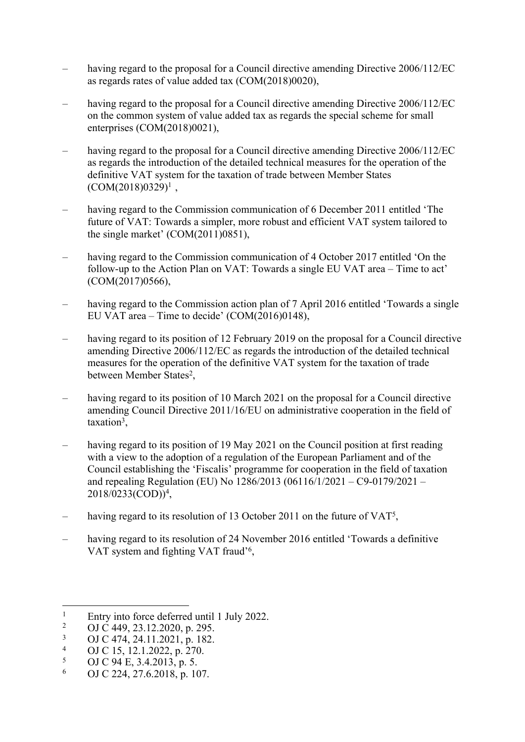- having regard to the proposal for a Council directive amending Directive 2006/112/EC as regards rates of value added tax (COM(2018)0020),
- having regard to the proposal for a Council directive amending Directive 2006/112/EC on the common system of value added tax as regards the special scheme for small enterprises (COM(2018)0021),
- having regard to the proposal for a Council directive amending Directive 2006/112/EC as regards the introduction of the detailed technical measures for the operation of the definitive VAT system for the taxation of trade between Member States  $(COM(2018)0329)^1$ ,
- having regard to the Commission communication of 6 December 2011 entitled 'The future of VAT: Towards a simpler, more robust and efficient VAT system tailored to the single market' (COM(2011)0851),
- having regard to the Commission communication of 4 October 2017 entitled 'On the follow-up to the Action Plan on VAT: Towards a single EU VAT area – Time to act' (COM(2017)0566),
- having regard to the Commission action plan of 7 April 2016 entitled 'Towards a single EU VAT area – Time to decide' (COM(2016)0148),
- having regard to its position of 12 February 2019 on the proposal for a Council directive amending Directive 2006/112/EC as regards the introduction of the detailed technical measures for the operation of the definitive VAT system for the taxation of trade between Member States<sup>2</sup>,
- having regard to its position of 10 March 2021 on the proposal for a Council directive amending Council Directive 2011/16/EU on administrative cooperation in the field of taxation<sup>3</sup>,
- having regard to its position of 19 May 2021 on the Council position at first reading with a view to the adoption of a regulation of the European Parliament and of the Council establishing the 'Fiscalis' programme for cooperation in the field of taxation and repealing Regulation (EU) No 1286/2013 (06116/1/2021 – C9-0179/2021 – 2018/0233(COD))<sup>4</sup> ,
- having regard to its resolution of 13 October 2011 on the future of VAT<sup>5</sup>,
- having regard to its resolution of 24 November 2016 entitled 'Towards a definitive VAT system and fighting VAT fraud'<sup>6</sup>,

<sup>1</sup> Entry into force deferred until 1 July 2022.

<sup>2</sup> OJ C 449, 23.12.2020, p. 295.

<sup>3</sup> OJ C 474, 24.11.2021, p. 182.

<sup>4</sup> OJ C 15, 12.1.2022, p. 270.

<sup>5</sup> OJ C 94 E, 3.4.2013, p. 5.

<sup>6</sup> OJ C 224, 27.6.2018, p. 107.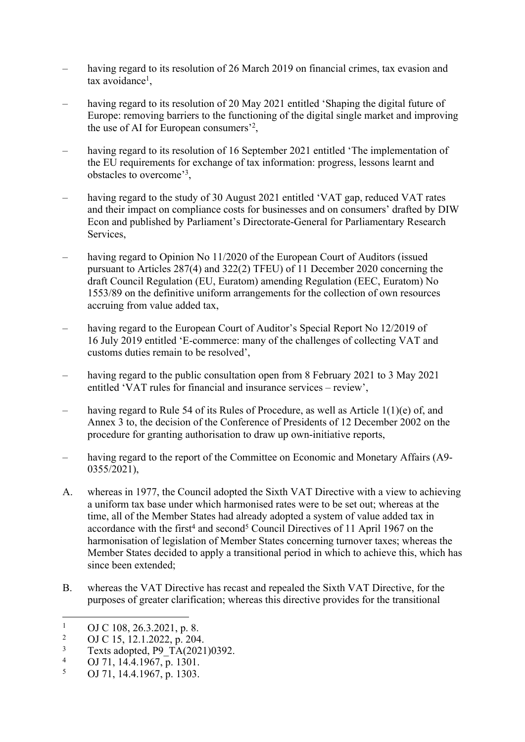- having regard to its resolution of 26 March 2019 on financial crimes, tax evasion and tax avoidance<sup>1</sup>,
- having regard to its resolution of 20 May 2021 entitled 'Shaping the digital future of Europe: removing barriers to the functioning of the digital single market and improving the use of AI for European consumers'<sup>2</sup> ,
- having regard to its resolution of 16 September 2021 entitled 'The implementation of the EU requirements for exchange of tax information: progress, lessons learnt and obstacles to overcome'<sup>3</sup> ,
- having regard to the study of 30 August 2021 entitled 'VAT gap, reduced VAT rates and their impact on compliance costs for businesses and on consumers' drafted by DIW Econ and published by Parliament's Directorate-General for Parliamentary Research Services,
- having regard to Opinion No 11/2020 of the European Court of Auditors (issued pursuant to Articles 287(4) and 322(2) TFEU) of 11 December 2020 concerning the draft Council Regulation (EU, Euratom) amending Regulation (EEC, Euratom) No 1553/89 on the definitive uniform arrangements for the collection of own resources accruing from value added tax,
- having regard to the European Court of Auditor's Special Report No 12/2019 of 16 July 2019 entitled 'E-commerce: many of the challenges of collecting VAT and customs duties remain to be resolved',
- having regard to the public consultation open from 8 February 2021 to 3 May 2021 entitled 'VAT rules for financial and insurance services – review',
- having regard to Rule 54 of its Rules of Procedure, as well as Article 1(1)(e) of, and Annex 3 to, the decision of the Conference of Presidents of 12 December 2002 on the procedure for granting authorisation to draw up own-initiative reports,
- having regard to the report of the Committee on Economic and Monetary Affairs (A9-0355/2021),
- A. whereas in 1977, the Council adopted the Sixth VAT Directive with a view to achieving a uniform tax base under which harmonised rates were to be set out; whereas at the time, all of the Member States had already adopted a system of value added tax in accordance with the first<sup>4</sup> and second<sup>5</sup> Council Directives of 11 April 1967 on the harmonisation of legislation of Member States concerning turnover taxes; whereas the Member States decided to apply a transitional period in which to achieve this, which has since been extended;
- B. whereas the VAT Directive has recast and repealed the Sixth VAT Directive, for the purposes of greater clarification; whereas this directive provides for the transitional

<sup>1</sup> OJ C 108, 26.3.2021, p. 8.

<sup>2</sup> OJ C 15, 12.1.2022, p. 204.

<sup>3</sup> Texts adopted, P9\_TA(2021)0392.

<sup>4</sup> OJ 71, 14.4.1967, p. 1301.

<sup>5</sup> OJ 71, 14.4.1967, p. 1303.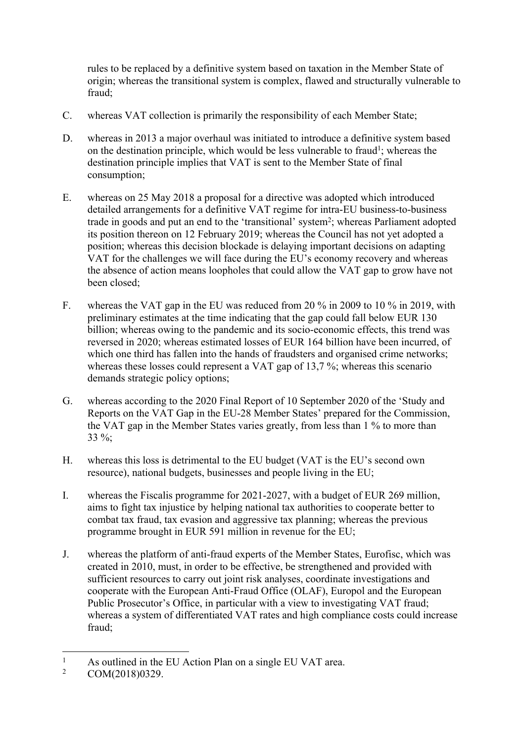rules to be replaced by a definitive system based on taxation in the Member State of origin; whereas the transitional system is complex, flawed and structurally vulnerable to fraud;

- C. whereas VAT collection is primarily the responsibility of each Member State;
- D. whereas in 2013 a major overhaul was initiated to introduce a definitive system based on the destination principle, which would be less vulnerable to fraud<sup>1</sup>; whereas the destination principle implies that VAT is sent to the Member State of final consumption;
- E. whereas on 25 May 2018 a proposal for a directive was adopted which introduced detailed arrangements for a definitive VAT regime for intra-EU business-to-business trade in goods and put an end to the 'transitional' system<sup>2</sup>; whereas Parliament adopted its position thereon on 12 February 2019; whereas the Council has not yet adopted a position; whereas this decision blockade is delaying important decisions on adapting VAT for the challenges we will face during the EU's economy recovery and whereas the absence of action means loopholes that could allow the VAT gap to grow have not been closed;
- F. whereas the VAT gap in the EU was reduced from 20 % in 2009 to 10 % in 2019, with preliminary estimates at the time indicating that the gap could fall below EUR 130 billion; whereas owing to the pandemic and its socio-economic effects, this trend was reversed in 2020; whereas estimated losses of EUR 164 billion have been incurred, of which one third has fallen into the hands of fraudsters and organised crime networks; whereas these losses could represent a VAT gap of 13,7 %; whereas this scenario demands strategic policy options;
- G. whereas according to the 2020 Final Report of 10 September 2020 of the 'Study and Reports on the VAT Gap in the EU-28 Member States' prepared for the Commission, the VAT gap in the Member States varies greatly, from less than 1 % to more than 33 %;
- H. whereas this loss is detrimental to the EU budget (VAT is the EU's second own resource), national budgets, businesses and people living in the EU;
- I. whereas the Fiscalis programme for 2021-2027, with a budget of EUR 269 million, aims to fight tax injustice by helping national tax authorities to cooperate better to combat tax fraud, tax evasion and aggressive tax planning; whereas the previous programme brought in EUR 591 million in revenue for the EU;
- J. whereas the platform of anti-fraud experts of the Member States, Eurofisc, which was created in 2010, must, in order to be effective, be strengthened and provided with sufficient resources to carry out joint risk analyses, coordinate investigations and cooperate with the European Anti-Fraud Office (OLAF), Europol and the European Public Prosecutor's Office, in particular with a view to investigating VAT fraud; whereas a system of differentiated VAT rates and high compliance costs could increase fraud;

<sup>1</sup> As outlined in the EU Action Plan on a single EU VAT area.

<sup>2</sup> COM(2018)0329.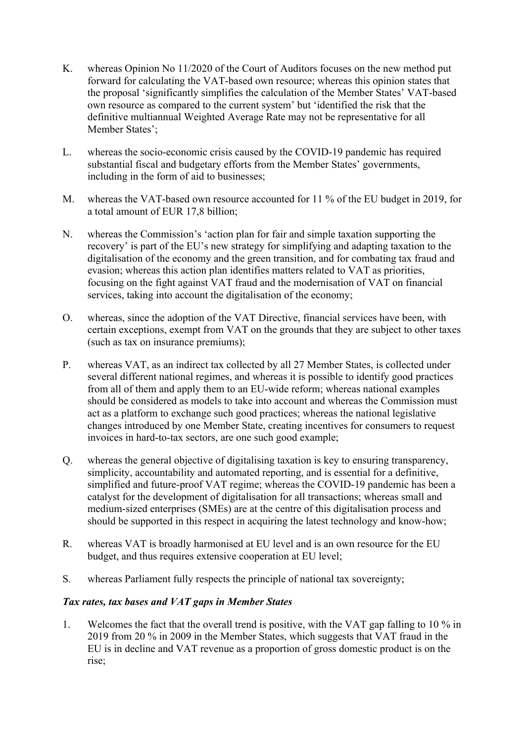- K. whereas Opinion No 11/2020 of the Court of Auditors focuses on the new method put forward for calculating the VAT-based own resource; whereas this opinion states that the proposal 'significantly simplifies the calculation of the Member States' VAT-based own resource as compared to the current system' but 'identified the risk that the definitive multiannual Weighted Average Rate may not be representative for all Member States';
- L. whereas the socio-economic crisis caused by the COVID-19 pandemic has required substantial fiscal and budgetary efforts from the Member States' governments, including in the form of aid to businesses;
- M. whereas the VAT-based own resource accounted for 11 % of the EU budget in 2019, for a total amount of EUR 17,8 billion;
- N. whereas the Commission's 'action plan for fair and simple taxation supporting the recovery' is part of the EU's new strategy for simplifying and adapting taxation to the digitalisation of the economy and the green transition, and for combating tax fraud and evasion; whereas this action plan identifies matters related to VAT as priorities, focusing on the fight against VAT fraud and the modernisation of VAT on financial services, taking into account the digitalisation of the economy;
- O. whereas, since the adoption of the VAT Directive, financial services have been, with certain exceptions, exempt from VAT on the grounds that they are subject to other taxes (such as tax on insurance premiums);
- P. whereas VAT, as an indirect tax collected by all 27 Member States, is collected under several different national regimes, and whereas it is possible to identify good practices from all of them and apply them to an EU-wide reform; whereas national examples should be considered as models to take into account and whereas the Commission must act as a platform to exchange such good practices; whereas the national legislative changes introduced by one Member State, creating incentives for consumers to request invoices in hard-to-tax sectors, are one such good example;
- Q. whereas the general objective of digitalising taxation is key to ensuring transparency, simplicity, accountability and automated reporting, and is essential for a definitive, simplified and future-proof VAT regime; whereas the COVID-19 pandemic has been a catalyst for the development of digitalisation for all transactions; whereas small and medium-sized enterprises (SMEs) are at the centre of this digitalisation process and should be supported in this respect in acquiring the latest technology and know-how;
- R. whereas VAT is broadly harmonised at EU level and is an own resource for the EU budget, and thus requires extensive cooperation at EU level;
- S. whereas Parliament fully respects the principle of national tax sovereignty;

#### *Tax rates, tax bases and VAT gaps in Member States*

1. Welcomes the fact that the overall trend is positive, with the VAT gap falling to 10 % in 2019 from 20 % in 2009 in the Member States, which suggests that VAT fraud in the EU is in decline and VAT revenue as a proportion of gross domestic product is on the rise;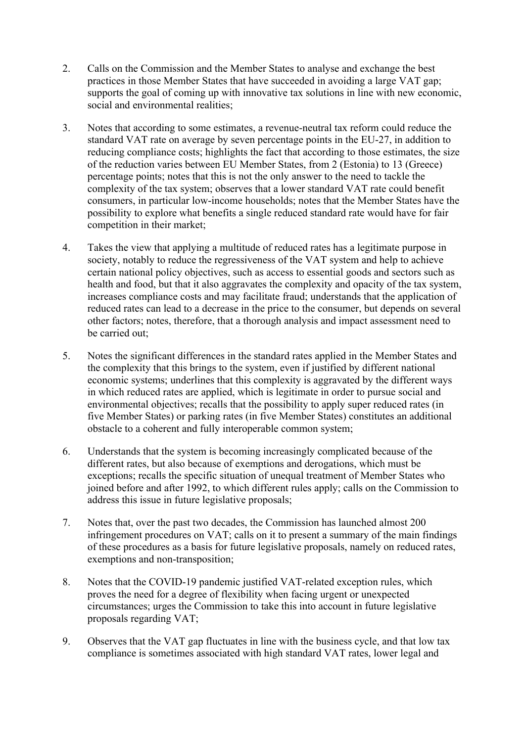- 2. Calls on the Commission and the Member States to analyse and exchange the best practices in those Member States that have succeeded in avoiding a large VAT gap; supports the goal of coming up with innovative tax solutions in line with new economic, social and environmental realities;
- 3. Notes that according to some estimates, a revenue-neutral tax reform could reduce the standard VAT rate on average by seven percentage points in the EU-27, in addition to reducing compliance costs; highlights the fact that according to those estimates, the size of the reduction varies between EU Member States, from 2 (Estonia) to 13 (Greece) percentage points; notes that this is not the only answer to the need to tackle the complexity of the tax system; observes that a lower standard VAT rate could benefit consumers, in particular low-income households; notes that the Member States have the possibility to explore what benefits a single reduced standard rate would have for fair competition in their market;
- 4. Takes the view that applying a multitude of reduced rates has a legitimate purpose in society, notably to reduce the regressiveness of the VAT system and help to achieve certain national policy objectives, such as access to essential goods and sectors such as health and food, but that it also aggravates the complexity and opacity of the tax system, increases compliance costs and may facilitate fraud; understands that the application of reduced rates can lead to a decrease in the price to the consumer, but depends on several other factors; notes, therefore, that a thorough analysis and impact assessment need to be carried out;
- 5. Notes the significant differences in the standard rates applied in the Member States and the complexity that this brings to the system, even if justified by different national economic systems; underlines that this complexity is aggravated by the different ways in which reduced rates are applied, which is legitimate in order to pursue social and environmental objectives; recalls that the possibility to apply super reduced rates (in five Member States) or parking rates (in five Member States) constitutes an additional obstacle to a coherent and fully interoperable common system;
- 6. Understands that the system is becoming increasingly complicated because of the different rates, but also because of exemptions and derogations, which must be exceptions; recalls the specific situation of unequal treatment of Member States who joined before and after 1992, to which different rules apply; calls on the Commission to address this issue in future legislative proposals;
- 7. Notes that, over the past two decades, the Commission has launched almost 200 infringement procedures on VAT; calls on it to present a summary of the main findings of these procedures as a basis for future legislative proposals, namely on reduced rates, exemptions and non-transposition;
- 8. Notes that the COVID-19 pandemic justified VAT-related exception rules, which proves the need for a degree of flexibility when facing urgent or unexpected circumstances; urges the Commission to take this into account in future legislative proposals regarding VAT;
- 9. Observes that the VAT gap fluctuates in line with the business cycle, and that low tax compliance is sometimes associated with high standard VAT rates, lower legal and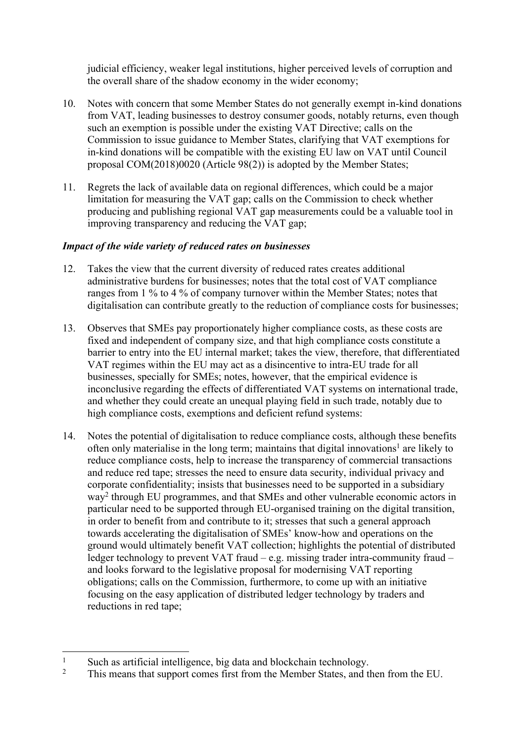judicial efficiency, weaker legal institutions, higher perceived levels of corruption and the overall share of the shadow economy in the wider economy;

- 10. Notes with concern that some Member States do not generally exempt in-kind donations from VAT, leading businesses to destroy consumer goods, notably returns, even though such an exemption is possible under the existing VAT Directive; calls on the Commission to issue guidance to Member States, clarifying that VAT exemptions for in-kind donations will be compatible with the existing EU law on VAT until Council proposal COM(2018)0020 (Article 98(2)) is adopted by the Member States;
- 11. Regrets the lack of available data on regional differences, which could be a major limitation for measuring the VAT gap; calls on the Commission to check whether producing and publishing regional VAT gap measurements could be a valuable tool in improving transparency and reducing the VAT gap;

#### *Impact of the wide variety of reduced rates on businesses*

- 12. Takes the view that the current diversity of reduced rates creates additional administrative burdens for businesses; notes that the total cost of VAT compliance ranges from 1 % to 4 % of company turnover within the Member States; notes that digitalisation can contribute greatly to the reduction of compliance costs for businesses;
- 13. Observes that SMEs pay proportionately higher compliance costs, as these costs are fixed and independent of company size, and that high compliance costs constitute a barrier to entry into the EU internal market; takes the view, therefore, that differentiated VAT regimes within the EU may act as a disincentive to intra-EU trade for all businesses, specially for SMEs; notes, however, that the empirical evidence is inconclusive regarding the effects of differentiated VAT systems on international trade, and whether they could create an unequal playing field in such trade, notably due to high compliance costs, exemptions and deficient refund systems:
- 14. Notes the potential of digitalisation to reduce compliance costs, although these benefits often only materialise in the long term; maintains that digital innovations<sup>1</sup> are likely to reduce compliance costs, help to increase the transparency of commercial transactions and reduce red tape; stresses the need to ensure data security, individual privacy and corporate confidentiality; insists that businesses need to be supported in a subsidiary way<sup>2</sup> through EU programmes, and that SMEs and other vulnerable economic actors in particular need to be supported through EU-organised training on the digital transition, in order to benefit from and contribute to it; stresses that such a general approach towards accelerating the digitalisation of SMEs' know-how and operations on the ground would ultimately benefit VAT collection; highlights the potential of distributed ledger technology to prevent VAT fraud – e.g. missing trader intra-community fraud – and looks forward to the legislative proposal for modernising VAT reporting obligations; calls on the Commission, furthermore, to come up with an initiative focusing on the easy application of distributed ledger technology by traders and reductions in red tape;

<sup>1</sup> Such as artificial intelligence, big data and blockchain technology.

<sup>2</sup> This means that support comes first from the Member States, and then from the EU.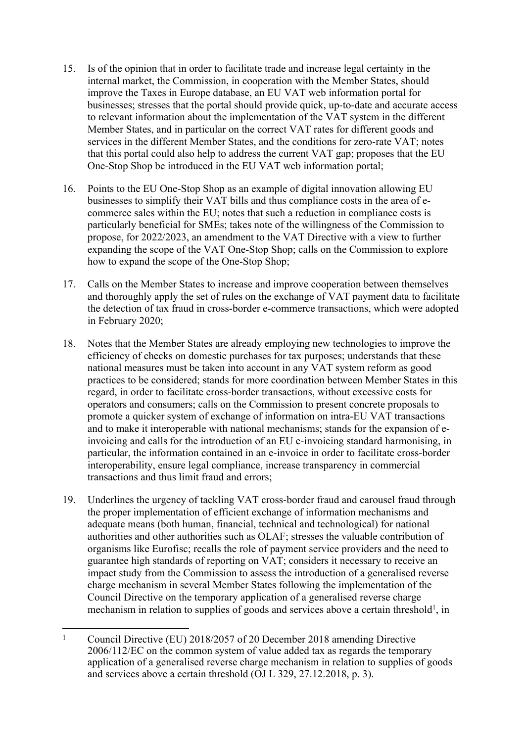- 15. Is of the opinion that in order to facilitate trade and increase legal certainty in the internal market, the Commission, in cooperation with the Member States, should improve the Taxes in Europe database, an EU VAT web information portal for businesses; stresses that the portal should provide quick, up-to-date and accurate access to relevant information about the implementation of the VAT system in the different Member States, and in particular on the correct VAT rates for different goods and services in the different Member States, and the conditions for zero-rate VAT; notes that this portal could also help to address the current VAT gap; proposes that the EU One-Stop Shop be introduced in the EU VAT web information portal;
- 16. Points to the EU One-Stop Shop as an example of digital innovation allowing EU businesses to simplify their VAT bills and thus compliance costs in the area of ecommerce sales within the EU; notes that such a reduction in compliance costs is particularly beneficial for SMEs; takes note of the willingness of the Commission to propose, for 2022/2023, an amendment to the VAT Directive with a view to further expanding the scope of the VAT One-Stop Shop; calls on the Commission to explore how to expand the scope of the One-Stop Shop;
- 17. Calls on the Member States to increase and improve cooperation between themselves and thoroughly apply the set of rules on the exchange of VAT payment data to facilitate the detection of tax fraud in cross-border e-commerce transactions, which were adopted in February 2020;
- 18. Notes that the Member States are already employing new technologies to improve the efficiency of checks on domestic purchases for tax purposes; understands that these national measures must be taken into account in any VAT system reform as good practices to be considered; stands for more coordination between Member States in this regard, in order to facilitate cross-border transactions, without excessive costs for operators and consumers; calls on the Commission to present concrete proposals to promote a quicker system of exchange of information on intra-EU VAT transactions and to make it interoperable with national mechanisms; stands for the expansion of einvoicing and calls for the introduction of an EU e-invoicing standard harmonising, in particular, the information contained in an e-invoice in order to facilitate cross-border interoperability, ensure legal compliance, increase transparency in commercial transactions and thus limit fraud and errors;
- 19. Underlines the urgency of tackling VAT cross-border fraud and carousel fraud through the proper implementation of efficient exchange of information mechanisms and adequate means (both human, financial, technical and technological) for national authorities and other authorities such as OLAF; stresses the valuable contribution of organisms like Eurofisc; recalls the role of payment service providers and the need to guarantee high standards of reporting on VAT; considers it necessary to receive an impact study from the Commission to assess the introduction of a generalised reverse charge mechanism in several Member States following the implementation of the Council Directive on the temporary application of a generalised reverse charge mechanism in relation to supplies of goods and services above a certain threshold<sup>1</sup>, in

<sup>1</sup> Council Directive (EU) 2018/2057 of 20 December 2018 amending Directive 2006/112/EC on the common system of value added tax as regards the temporary application of a generalised reverse charge mechanism in relation to supplies of goods and services above a certain threshold (OJ L 329, 27.12.2018, p. 3).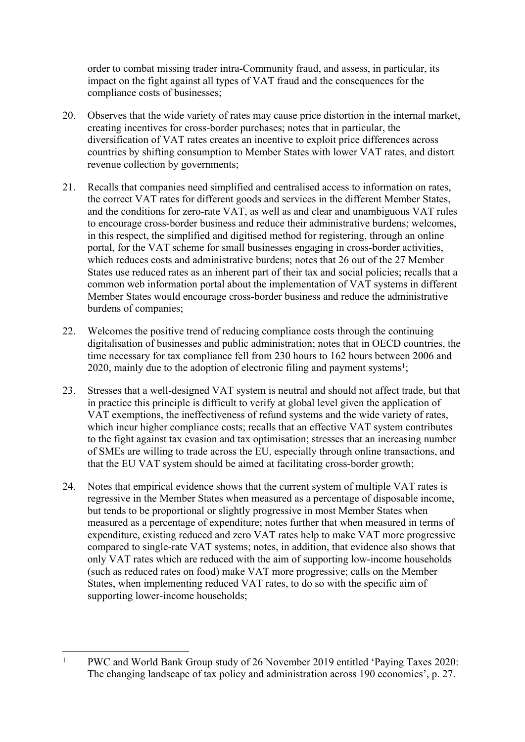order to combat missing trader intra-Community fraud, and assess, in particular, its impact on the fight against all types of VAT fraud and the consequences for the compliance costs of businesses;

- 20. Observes that the wide variety of rates may cause price distortion in the internal market, creating incentives for cross-border purchases; notes that in particular, the diversification of VAT rates creates an incentive to exploit price differences across countries by shifting consumption to Member States with lower VAT rates, and distort revenue collection by governments;
- 21. Recalls that companies need simplified and centralised access to information on rates, the correct VAT rates for different goods and services in the different Member States, and the conditions for zero-rate VAT, as well as and clear and unambiguous VAT rules to encourage cross-border business and reduce their administrative burdens; welcomes, in this respect, the simplified and digitised method for registering, through an online portal, for the VAT scheme for small businesses engaging in cross-border activities, which reduces costs and administrative burdens; notes that 26 out of the 27 Member States use reduced rates as an inherent part of their tax and social policies; recalls that a common web information portal about the implementation of VAT systems in different Member States would encourage cross-border business and reduce the administrative burdens of companies;
- 22. Welcomes the positive trend of reducing compliance costs through the continuing digitalisation of businesses and public administration; notes that in OECD countries, the time necessary for tax compliance fell from 230 hours to 162 hours between 2006 and 2020, mainly due to the adoption of electronic filing and payment systems<sup>1</sup>;
- 23. Stresses that a well-designed VAT system is neutral and should not affect trade, but that in practice this principle is difficult to verify at global level given the application of VAT exemptions, the ineffectiveness of refund systems and the wide variety of rates, which incur higher compliance costs; recalls that an effective VAT system contributes to the fight against tax evasion and tax optimisation; stresses that an increasing number of SMEs are willing to trade across the EU, especially through online transactions, and that the EU VAT system should be aimed at facilitating cross-border growth;
- 24. Notes that empirical evidence shows that the current system of multiple VAT rates is regressive in the Member States when measured as a percentage of disposable income, but tends to be proportional or slightly progressive in most Member States when measured as a percentage of expenditure; notes further that when measured in terms of expenditure, existing reduced and zero VAT rates help to make VAT more progressive compared to single-rate VAT systems; notes, in addition, that evidence also shows that only VAT rates which are reduced with the aim of supporting low-income households (such as reduced rates on food) make VAT more progressive; calls on the Member States, when implementing reduced VAT rates, to do so with the specific aim of supporting lower-income households;

<sup>1</sup> PWC and World Bank Group study of 26 November 2019 entitled 'Paying Taxes 2020: The changing landscape of tax policy and administration across 190 economies', p. 27.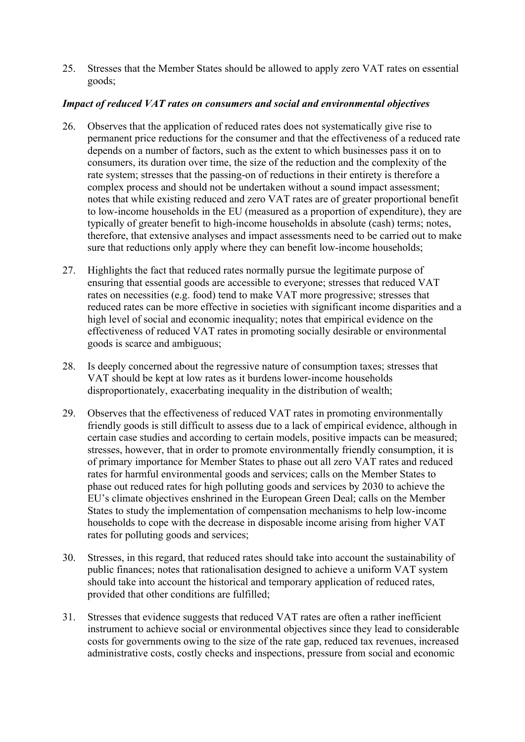25. Stresses that the Member States should be allowed to apply zero VAT rates on essential goods;

## *Impact of reduced VAT rates on consumers and social and environmental objectives*

- 26. Observes that the application of reduced rates does not systematically give rise to permanent price reductions for the consumer and that the effectiveness of a reduced rate depends on a number of factors, such as the extent to which businesses pass it on to consumers, its duration over time, the size of the reduction and the complexity of the rate system; stresses that the passing-on of reductions in their entirety is therefore a complex process and should not be undertaken without a sound impact assessment; notes that while existing reduced and zero VAT rates are of greater proportional benefit to low-income households in the EU (measured as a proportion of expenditure), they are typically of greater benefit to high-income households in absolute (cash) terms; notes, therefore, that extensive analyses and impact assessments need to be carried out to make sure that reductions only apply where they can benefit low-income households;
- 27. Highlights the fact that reduced rates normally pursue the legitimate purpose of ensuring that essential goods are accessible to everyone; stresses that reduced VAT rates on necessities (e.g. food) tend to make VAT more progressive; stresses that reduced rates can be more effective in societies with significant income disparities and a high level of social and economic inequality; notes that empirical evidence on the effectiveness of reduced VAT rates in promoting socially desirable or environmental goods is scarce and ambiguous;
- 28. Is deeply concerned about the regressive nature of consumption taxes; stresses that VAT should be kept at low rates as it burdens lower-income households disproportionately, exacerbating inequality in the distribution of wealth;
- 29. Observes that the effectiveness of reduced VAT rates in promoting environmentally friendly goods is still difficult to assess due to a lack of empirical evidence, although in certain case studies and according to certain models, positive impacts can be measured; stresses, however, that in order to promote environmentally friendly consumption, it is of primary importance for Member States to phase out all zero VAT rates and reduced rates for harmful environmental goods and services; calls on the Member States to phase out reduced rates for high polluting goods and services by 2030 to achieve the EU's climate objectives enshrined in the European Green Deal; calls on the Member States to study the implementation of compensation mechanisms to help low-income households to cope with the decrease in disposable income arising from higher VAT rates for polluting goods and services;
- 30. Stresses, in this regard, that reduced rates should take into account the sustainability of public finances; notes that rationalisation designed to achieve a uniform VAT system should take into account the historical and temporary application of reduced rates, provided that other conditions are fulfilled;
- 31. Stresses that evidence suggests that reduced VAT rates are often a rather inefficient instrument to achieve social or environmental objectives since they lead to considerable costs for governments owing to the size of the rate gap, reduced tax revenues, increased administrative costs, costly checks and inspections, pressure from social and economic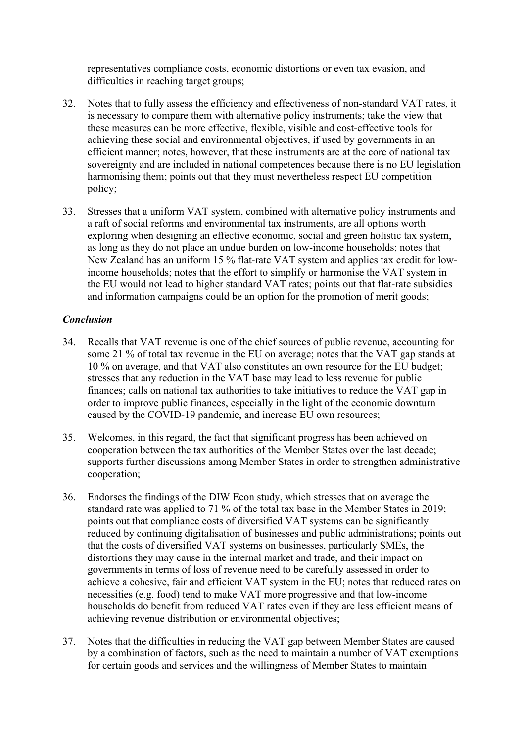representatives compliance costs, economic distortions or even tax evasion, and difficulties in reaching target groups;

- 32. Notes that to fully assess the efficiency and effectiveness of non-standard VAT rates, it is necessary to compare them with alternative policy instruments; take the view that these measures can be more effective, flexible, visible and cost-effective tools for achieving these social and environmental objectives, if used by governments in an efficient manner; notes, however, that these instruments are at the core of national tax sovereignty and are included in national competences because there is no EU legislation harmonising them; points out that they must nevertheless respect EU competition policy;
- 33. Stresses that a uniform VAT system, combined with alternative policy instruments and a raft of social reforms and environmental tax instruments, are all options worth exploring when designing an effective economic, social and green holistic tax system, as long as they do not place an undue burden on low-income households; notes that New Zealand has an uniform 15 % flat-rate VAT system and applies tax credit for lowincome households; notes that the effort to simplify or harmonise the VAT system in the EU would not lead to higher standard VAT rates; points out that flat-rate subsidies and information campaigns could be an option for the promotion of merit goods;

#### *Conclusion*

- 34. Recalls that VAT revenue is one of the chief sources of public revenue, accounting for some 21 % of total tax revenue in the EU on average; notes that the VAT gap stands at 10 % on average, and that VAT also constitutes an own resource for the EU budget; stresses that any reduction in the VAT base may lead to less revenue for public finances; calls on national tax authorities to take initiatives to reduce the VAT gap in order to improve public finances, especially in the light of the economic downturn caused by the COVID-19 pandemic, and increase EU own resources;
- 35. Welcomes, in this regard, the fact that significant progress has been achieved on cooperation between the tax authorities of the Member States over the last decade; supports further discussions among Member States in order to strengthen administrative cooperation;
- 36. Endorses the findings of the DIW Econ study, which stresses that on average the standard rate was applied to 71 % of the total tax base in the Member States in 2019; points out that compliance costs of diversified VAT systems can be significantly reduced by continuing digitalisation of businesses and public administrations; points out that the costs of diversified VAT systems on businesses, particularly SMEs, the distortions they may cause in the internal market and trade, and their impact on governments in terms of loss of revenue need to be carefully assessed in order to achieve a cohesive, fair and efficient VAT system in the EU; notes that reduced rates on necessities (e.g. food) tend to make VAT more progressive and that low-income households do benefit from reduced VAT rates even if they are less efficient means of achieving revenue distribution or environmental objectives;
- 37. Notes that the difficulties in reducing the VAT gap between Member States are caused by a combination of factors, such as the need to maintain a number of VAT exemptions for certain goods and services and the willingness of Member States to maintain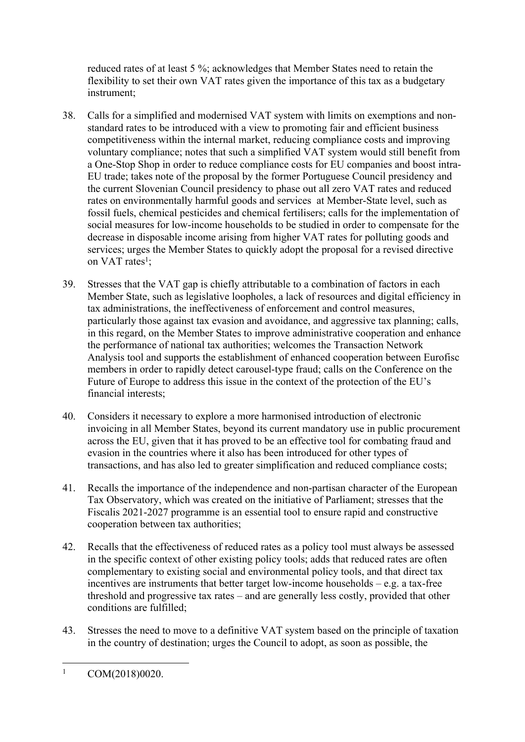reduced rates of at least 5 %; acknowledges that Member States need to retain the flexibility to set their own VAT rates given the importance of this tax as a budgetary instrument;

- 38. Calls for a simplified and modernised VAT system with limits on exemptions and nonstandard rates to be introduced with a view to promoting fair and efficient business competitiveness within the internal market, reducing compliance costs and improving voluntary compliance; notes that such a simplified VAT system would still benefit from a One-Stop Shop in order to reduce compliance costs for EU companies and boost intra-EU trade; takes note of the proposal by the former Portuguese Council presidency and the current Slovenian Council presidency to phase out all zero VAT rates and reduced rates on environmentally harmful goods and services at Member-State level, such as fossil fuels, chemical pesticides and chemical fertilisers; calls for the implementation of social measures for low-income households to be studied in order to compensate for the decrease in disposable income arising from higher VAT rates for polluting goods and services; urges the Member States to quickly adopt the proposal for a revised directive on VAT rates<sup>1</sup>;
- 39. Stresses that the VAT gap is chiefly attributable to a combination of factors in each Member State, such as legislative loopholes, a lack of resources and digital efficiency in tax administrations, the ineffectiveness of enforcement and control measures, particularly those against tax evasion and avoidance, and aggressive tax planning; calls, in this regard, on the Member States to improve administrative cooperation and enhance the performance of national tax authorities; welcomes the Transaction Network Analysis tool and supports the establishment of enhanced cooperation between Eurofisc members in order to rapidly detect carousel-type fraud; calls on the Conference on the Future of Europe to address this issue in the context of the protection of the EU's financial interests;
- 40. Considers it necessary to explore a more harmonised introduction of electronic invoicing in all Member States, beyond its current mandatory use in public procurement across the EU, given that it has proved to be an effective tool for combating fraud and evasion in the countries where it also has been introduced for other types of transactions, and has also led to greater simplification and reduced compliance costs;
- 41. Recalls the importance of the independence and non-partisan character of the European Tax Observatory, which was created on the initiative of Parliament; stresses that the Fiscalis 2021-2027 programme is an essential tool to ensure rapid and constructive cooperation between tax authorities;
- 42. Recalls that the effectiveness of reduced rates as a policy tool must always be assessed in the specific context of other existing policy tools; adds that reduced rates are often complementary to existing social and environmental policy tools, and that direct tax incentives are instruments that better target low-income households – e.g. a tax-free threshold and progressive tax rates – and are generally less costly, provided that other conditions are fulfilled;
- 43. Stresses the need to move to a definitive VAT system based on the principle of taxation in the country of destination; urges the Council to adopt, as soon as possible, the

<sup>1</sup> COM(2018)0020.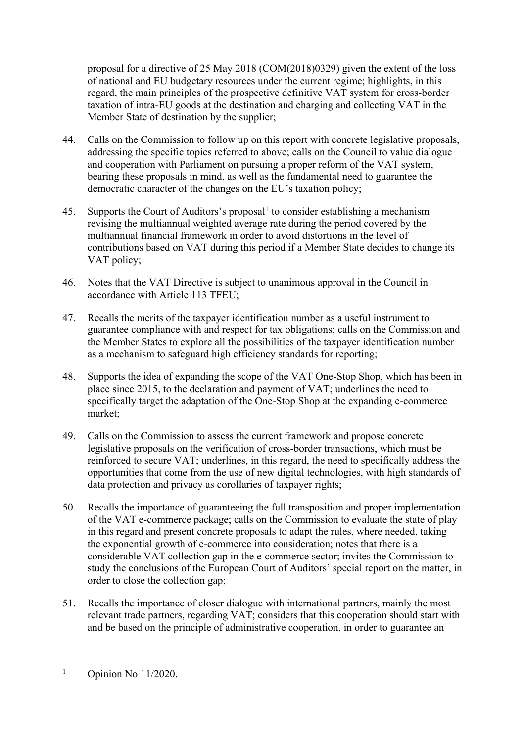proposal for a directive of 25 May 2018 (COM(2018)0329) given the extent of the loss of national and EU budgetary resources under the current regime; highlights, in this regard, the main principles of the prospective definitive VAT system for cross-border taxation of intra-EU goods at the destination and charging and collecting VAT in the Member State of destination by the supplier;

- 44. Calls on the Commission to follow up on this report with concrete legislative proposals, addressing the specific topics referred to above; calls on the Council to value dialogue and cooperation with Parliament on pursuing a proper reform of the VAT system, bearing these proposals in mind, as well as the fundamental need to guarantee the democratic character of the changes on the EU's taxation policy;
- 45. Supports the Court of Auditors's proposal<sup>1</sup> to consider establishing a mechanism revising the multiannual weighted average rate during the period covered by the multiannual financial framework in order to avoid distortions in the level of contributions based on VAT during this period if a Member State decides to change its VAT policy;
- 46. Notes that the VAT Directive is subject to unanimous approval in the Council in accordance with Article 113 TFEU;
- 47. Recalls the merits of the taxpayer identification number as a useful instrument to guarantee compliance with and respect for tax obligations; calls on the Commission and the Member States to explore all the possibilities of the taxpayer identification number as a mechanism to safeguard high efficiency standards for reporting;
- 48. Supports the idea of expanding the scope of the VAT One-Stop Shop, which has been in place since 2015, to the declaration and payment of VAT; underlines the need to specifically target the adaptation of the One-Stop Shop at the expanding e-commerce market;
- 49. Calls on the Commission to assess the current framework and propose concrete legislative proposals on the verification of cross-border transactions, which must be reinforced to secure VAT; underlines, in this regard, the need to specifically address the opportunities that come from the use of new digital technologies, with high standards of data protection and privacy as corollaries of taxpayer rights;
- 50. Recalls the importance of guaranteeing the full transposition and proper implementation of the VAT e-commerce package; calls on the Commission to evaluate the state of play in this regard and present concrete proposals to adapt the rules, where needed, taking the exponential growth of e-commerce into consideration; notes that there is a considerable VAT collection gap in the e-commerce sector; invites the Commission to study the conclusions of the European Court of Auditors' special report on the matter, in order to close the collection gap;
- 51. Recalls the importance of closer dialogue with international partners, mainly the most relevant trade partners, regarding VAT; considers that this cooperation should start with and be based on the principle of administrative cooperation, in order to guarantee an

<sup>1</sup> Opinion No 11/2020.